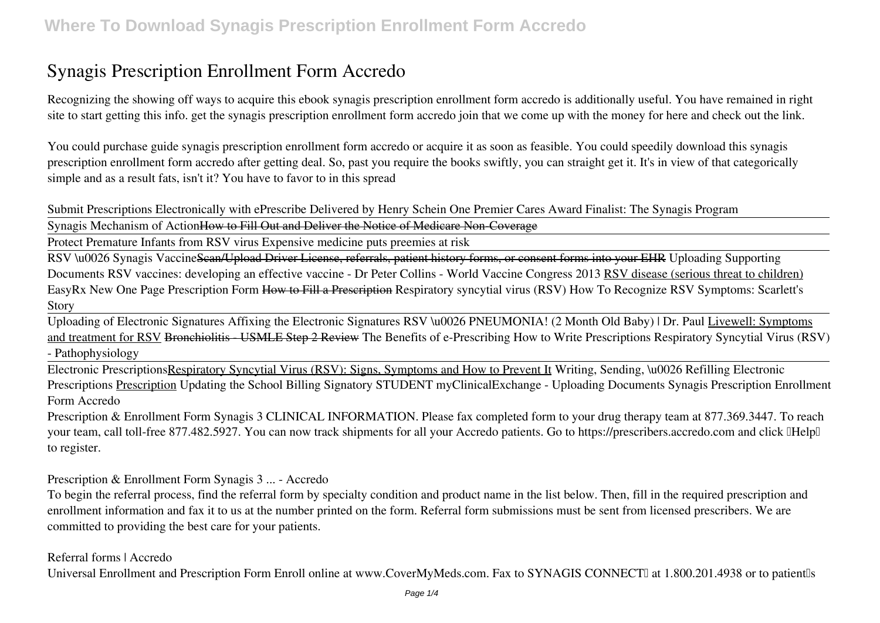# **Synagis Prescription Enrollment Form Accredo**

Recognizing the showing off ways to acquire this ebook **synagis prescription enrollment form accredo** is additionally useful. You have remained in right site to start getting this info. get the synagis prescription enrollment form accredo join that we come up with the money for here and check out the link.

You could purchase guide synagis prescription enrollment form accredo or acquire it as soon as feasible. You could speedily download this synagis prescription enrollment form accredo after getting deal. So, past you require the books swiftly, you can straight get it. It's in view of that categorically simple and as a result fats, isn't it? You have to favor to in this spread

**Submit Prescriptions Electronically with ePrescribe Delivered by Henry Schein One** *Premier Cares Award Finalist: The Synagis Program*

Synagis Mechanism of ActionHow to Fill Out and Deliver the Notice of Medicare Non-Coverage

Protect Premature Infants from RSV virus Expensive medicine puts preemies at risk

RSV \u0026 Synagis VaccineScan/Upload Driver License, referrals, patient history forms, or consent forms into your EHR *Uploading Supporting Documents RSV vaccines: developing an effective vaccine - Dr Peter Collins - World Vaccine Congress 2013* RSV disease (serious threat to children) EasyRx New One Page Prescription Form How to Fill a Prescription Respiratory syncytial virus (RSV) How To Recognize RSV Symptoms: Scarlett's Story

Uploading of Electronic Signatures Affixing the Electronic Signatures *RSV \u0026 PNEUMONIA! (2 Month Old Baby) | Dr. Paul* Livewell: Symptoms and treatment for RSV Bronchiolitis - USMLE Step 2 Review **The Benefits of e-Prescribing** *How to Write Prescriptions Respiratory Syncytial Virus (RSV) - Pathophysiology*

Electronic PrescriptionsRespiratory Syncytial Virus (RSV): Signs, Symptoms and How to Prevent It *Writing, Sending, \u0026 Refilling Electronic Prescriptions* Prescription *Updating the School Billing Signatory STUDENT myClinicalExchange - Uploading Documents Synagis Prescription Enrollment Form Accredo*

Prescription & Enrollment Form Synagis 3 CLINICAL INFORMATION. Please fax completed form to your drug therapy team at 877.369.3447. To reach your team, call toll-free 877.482.5927. You can now track shipments for all your Accredo patients. Go to https://prescribers.accredo.com and click IHelpI to register.

*Prescription & Enrollment Form Synagis 3 ... - Accredo*

To begin the referral process, find the referral form by specialty condition and product name in the list below. Then, fill in the required prescription and enrollment information and fax it to us at the number printed on the form. Referral form submissions must be sent from licensed prescribers. We are committed to providing the best care for your patients.

#### *Referral forms | Accredo*

Universal Enrollment and Prescription Form Enroll online at www.CoverMyMeds.com. Fax to SYNAGIS CONNECTI at 1.800.201.4938 or to patientlls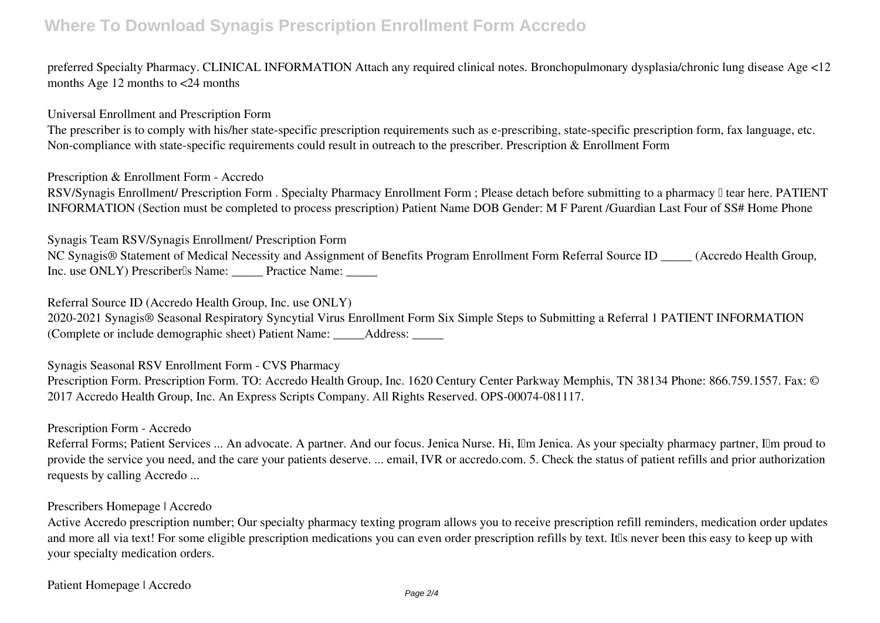### **Where To Download Synagis Prescription Enrollment Form Accredo**

preferred Specialty Pharmacy. CLINICAL INFORMATION Attach any required clinical notes. Bronchopulmonary dysplasia/chronic lung disease Age <12 months Age 12 months to <24 months

*Universal Enrollment and Prescription Form*

The prescriber is to comply with his/her state-specific prescription requirements such as e-prescribing, state-specific prescription form, fax language, etc. Non-compliance with state-specific requirements could result in outreach to the prescriber. Prescription & Enrollment Form

*Prescription & Enrollment Form - Accredo*

RSV/Synagis Enrollment/ Prescription Form . Specialty Pharmacy Enrollment Form ; Please detach before submitting to a pharmacy II tear here. PATIENT INFORMATION (Section must be completed to process prescription) Patient Name DOB Gender: M F Parent /Guardian Last Four of SS# Home Phone

*Synagis Team RSV/Synagis Enrollment/ Prescription Form*

NC Synagis® Statement of Medical Necessity and Assignment of Benefits Program Enrollment Form Referral Source ID \_\_\_\_\_ (Accredo Health Group, Inc. use ONLY) Prescriber<sup>[]</sup>s Name: \_\_\_\_\_\_ Practice Name:

*Referral Source ID (Accredo Health Group, Inc. use ONLY)*

2020-2021 Synagis® Seasonal Respiratory Syncytial Virus Enrollment Form Six Simple Steps to Submitting a Referral 1 PATIENT INFORMATION (Complete or include demographic sheet) Patient Name: \_\_\_\_\_Address: \_\_\_\_\_

*Synagis Seasonal RSV Enrollment Form - CVS Pharmacy*

Prescription Form. Prescription Form. TO: Accredo Health Group, Inc. 1620 Century Center Parkway Memphis, TN 38134 Phone: 866.759.1557. Fax: © 2017 Accredo Health Group, Inc. An Express Scripts Company. All Rights Reserved. OPS-00074-081117.

*Prescription Form - Accredo*

Referral Forms; Patient Services ... An advocate. A partner. And our focus. Jenica Nurse. Hi, Ilm Jenica. As your specialty pharmacy partner, Ilm proud to provide the service you need, and the care your patients deserve. ... email, IVR or accredo.com. 5. Check the status of patient refills and prior authorization requests by calling Accredo ...

#### *Prescribers Homepage | Accredo*

Active Accredo prescription number; Our specialty pharmacy texting program allows you to receive prescription refill reminders, medication order updates and more all via text! For some eligible prescription medications you can even order prescription refills by text. It is never been this easy to keep up with your specialty medication orders.

*Patient Homepage | Accredo*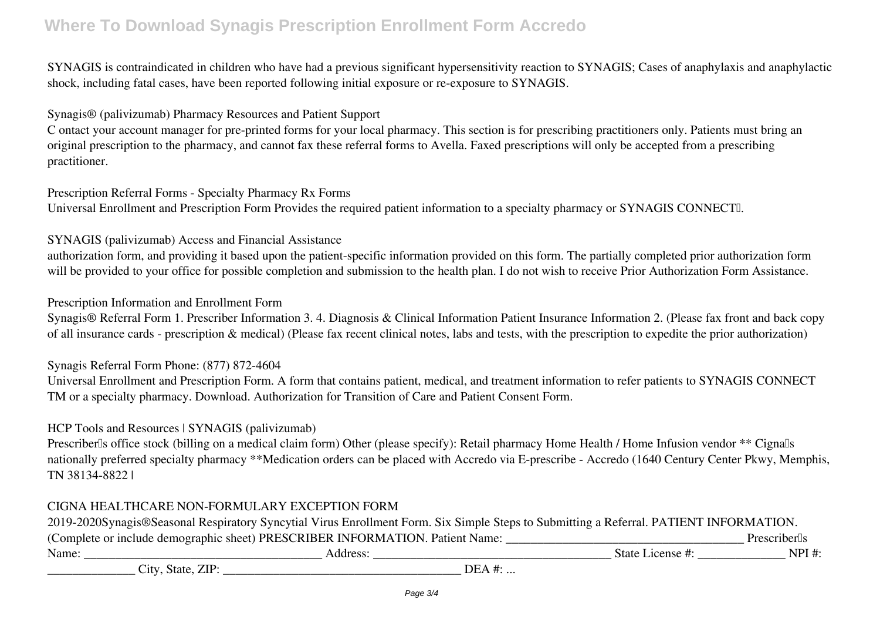# **Where To Download Synagis Prescription Enrollment Form Accredo**

SYNAGIS is contraindicated in children who have had a previous significant hypersensitivity reaction to SYNAGIS; Cases of anaphylaxis and anaphylactic shock, including fatal cases, have been reported following initial exposure or re-exposure to SYNAGIS.

*Synagis® (palivizumab) Pharmacy Resources and Patient Support*

C ontact your account manager for pre-printed forms for your local pharmacy. This section is for prescribing practitioners only. Patients must bring an original prescription to the pharmacy, and cannot fax these referral forms to Avella. Faxed prescriptions will only be accepted from a prescribing practitioner.

*Prescription Referral Forms - Specialty Pharmacy Rx Forms* Universal Enrollment and Prescription Form Provides the required patient information to a specialty pharmacy or SYNAGIS CONNECTI.

### *SYNAGIS (palivizumab) Access and Financial Assistance*

authorization form, and providing it based upon the patient-specific information provided on this form. The partially completed prior authorization form will be provided to your office for possible completion and submission to the health plan. I do not wish to receive Prior Authorization Form Assistance.

#### *Prescription Information and Enrollment Form*

Synagis® Referral Form 1. Prescriber Information 3. 4. Diagnosis & Clinical Information Patient Insurance Information 2. (Please fax front and back copy of all insurance cards - prescription & medical) (Please fax recent clinical notes, labs and tests, with the prescription to expedite the prior authorization)

#### *Synagis Referral Form Phone: (877) 872-4604*

Universal Enrollment and Prescription Form. A form that contains patient, medical, and treatment information to refer patients to SYNAGIS CONNECT TM or a specialty pharmacy. Download. Authorization for Transition of Care and Patient Consent Form.

#### *HCP Tools and Resources | SYNAGIS (palivizumab)*

Prescriberlls office stock (billing on a medical claim form) Other (please specify): Retail pharmacy Home Health / Home Infusion vendor \*\* Cignalls nationally preferred specialty pharmacy \*\*Medication orders can be placed with Accredo via E-prescribe - Accredo (1640 Century Center Pkwy, Memphis, TN 38134-8822 |

### *CIGNA HEALTHCARE NON-FORMULARY EXCEPTION FORM*

| 2019-2020Synagis®Seasonal Respiratory Syncytial Virus Enrollment Form. Six Simple Steps to Submitting a Referral. PATIENT INFORMATION. |                                                                               |                  |                                |
|----------------------------------------------------------------------------------------------------------------------------------------|-------------------------------------------------------------------------------|------------------|--------------------------------|
|                                                                                                                                        | (Complete or include demographic sheet) PRESCRIBER INFORMATION. Patient Name: |                  | <b>Prescriber</b> <sup>s</sup> |
| Name:                                                                                                                                  | Address:                                                                      | State License #: | NPI #:                         |
| City, State, ZIP:                                                                                                                      |                                                                               | DEA #:           |                                |